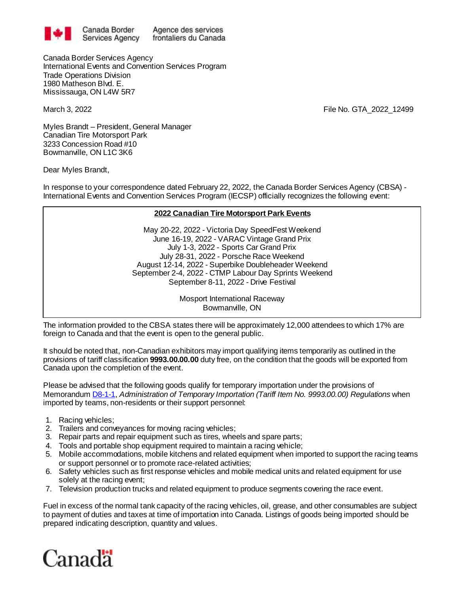

Agence des services frontaliers du Canada

Canada Border Services Agency International Events and Convention Services Program Trade Operations Division 1980 Matheson Blvd. E. Mississauga, ON L4W 5R7

March 3, 2022 File No. GTA\_2022\_12499

Myles Brandt – President, General Manager Canadian Tire Motorsport Park 3233 Concession Road #10 Bowmanville, ON L1C 3K6

Dear Myles Brandt,

In response to your correspondence dated February 22, 2022, the Canada Border Services Agency (CBSA) - International Events and Convention Services Program (IECSP) officially recognizes the following event:

## **2022 Canadian Tire Motorsport Park Events**

May 20-22, 2022 - Victoria Day SpeedFest Weekend June 16-19, 2022 - VARAC Vintage Grand Prix July 1-3, 2022 - Sports Car Grand Prix July 28-31, 2022 - Porsche Race Weekend August 12-14, 2022 - Superbike Doubleheader Weekend September 2-4, 2022 - CTMP Labour Day Sprints Weekend September 8-11, 2022 - Drive Festival

> Mosport International Raceway Bowmanville, ON

The information provided to the CBSA states there will be approximately 12,000 attendees to which 17% are foreign to Canada and that the event is open to the general public.

It should be noted that, non-Canadian exhibitors may import qualifying items temporarily as outlined in the provisions of tariff classification **9993.00.00.00** duty free, on the condition that the goods will be exported from Canada upon the completion of the event.

Please be advised that the following goods qualify for temporary importation under the provisions of Memorandu[m D8-1-1,](http://www.cbsa-asfc.gc.ca/publications/dm-md/d8/d8-1-1-eng.html) *Administration of Temporary Importation (Tariff Item No. 9993.00.00) Regulations* when imported by teams, non-residents or their support personnel:

- 1. Racing vehicles;
- 2. Trailers and conveyances for moving racing vehicles;
- 3. Repair parts and repair equipment such as tires, wheels and spare parts;
- 4. Tools and portable shop equipment required to maintain a racing vehicle;
- 5. Mobile accommodations, mobile kitchens and related equipment when imported to support the racing teams or support personnel or to promote race-related activities;
- 6. Safety vehicles such as first response vehicles and mobile medical units and related equipment for use solely at the racing event;
- 7. Television production trucks and related equipment to produce segments covering the race event.

Fuel in excess of the normal tank capacity of the racing vehicles, oil, grease, and other consumables are subject to payment of duties and taxes at time of importation into Canada. Listings of goods being imported should be prepared indicating description, quantity and values.